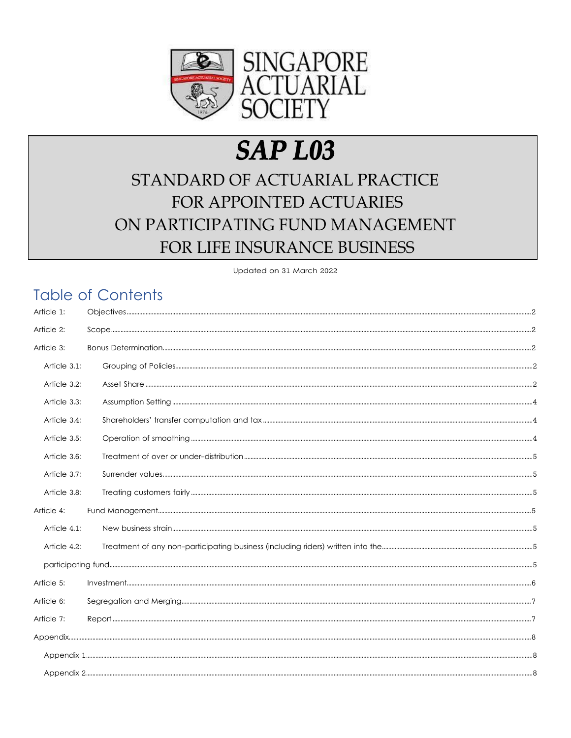

# **SAP L03**

# STANDARD OF ACTUARIAL PRACTICE FOR APPOINTED ACTUARIES ON PARTICIPATING FUND MANAGEMENT FOR LIFE INSURANCE BUSINESS

Updated on 31 March 2022

# **Table of Contents**

| Article 1:   |  |  |
|--------------|--|--|
| Article 2:   |  |  |
| Article 3:   |  |  |
| Article 3.1: |  |  |
| Article 3.2: |  |  |
| Article 3.3: |  |  |
| Article 3.4: |  |  |
| Article 3.5: |  |  |
| Article 3.6: |  |  |
| Article 3.7: |  |  |
| Article 3.8: |  |  |
| Article 4:   |  |  |
| Article 4.1: |  |  |
| Article 4.2: |  |  |
|              |  |  |
| Article 5:   |  |  |
| Article 6:   |  |  |
| Article 7:   |  |  |
|              |  |  |
|              |  |  |
|              |  |  |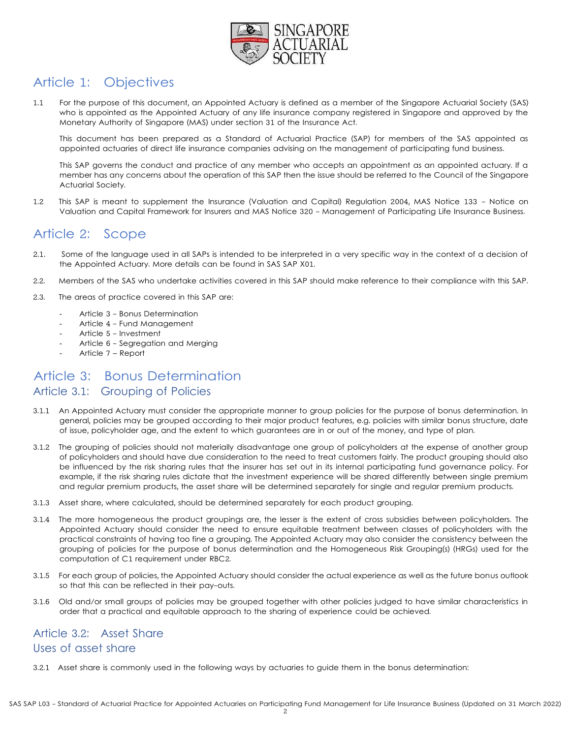

# Article 1: Objectives

1.1 For the purpose of this document, an Appointed Actuary is defined as a member of the Singapore Actuarial Society (SAS) who is appointed as the Appointed Actuary of any life insurance company registered in Singapore and approved by the Monetary Authority of Singapore (MAS) under section 31 of the Insurance Act.

This document has been prepared as a Standard of Actuarial Practice (SAP) for members of the SAS appointed as appointed actuaries of direct life insurance companies advising on the management of participating fund business.

This SAP governs the conduct and practice of any member who accepts an appointment as an appointed actuary. If a member has any concerns about the operation of this SAP then the issue should be referred to the Council of the Singapore Actuarial Society.

1.2 This SAP is meant to supplement the Insurance (Valuation and Capital) Regulation 2004, MAS Notice 133 - Notice on Valuation and Capital Framework for Insurers and MAS Notice 320 - Management of Participating Life Insurance Business.

# Article 2: Scope

- 2.1. Some of the language used in all SAPs is intended to be interpreted in a very specific way in the context of a decision of the Appointed Actuary. More details can be found in SAS SAP X01.
- 2.2. Members of the SAS who undertake activities covered in this SAP should make reference to their compliance with this SAP.
- 2.3. The areas of practice covered in this SAP are:
	- Article 3 Bonus Determination
	- Article 4 Fund Management
	- Article 5 Investment
	- Article 6 Segregation and Merging
	- Article 7 Report

# Article 3: Bonus Determination

#### Article 3.1: Grouping of Policies

- 3.1.1 An Appointed Actuary must consider the appropriate manner to group policies for the purpose of bonus determination. In general, policies may be grouped according to their major product features, e.g. policies with similar bonus structure, date of issue, policyholder age, and the extent to which guarantees are in or out of the money, and type of plan.
- 3.1.2 The grouping of policies should not materially disadvantage one group of policyholders at the expense of another group of policyholders and should have due consideration to the need to treat customers fairly. The product grouping should also be influenced by the risk sharing rules that the insurer has set out in its internal participating fund governance policy. For example, if the risk sharing rules dictate that the investment experience will be shared differently between single premium and regular premium products, the asset share will be determined separately for single and regular premium products.
- 3.1.3 Asset share, where calculated, should be determined separately for each product grouping.
- 3.1.4 The more homogeneous the product groupings are, the lesser is the extent of cross subsidies between policyholders. The Appointed Actuary should consider the need to ensure equitable treatment between classes of policyholders with the practical constraints of having too fine a grouping. The Appointed Actuary may also consider the consistency between the grouping of policies for the purpose of bonus determination and the Homogeneous Risk Grouping(s) (HRGs) used for the computation of C1 requirement under RBC2.
- 3.1.5 For each group of policies, the Appointed Actuary should consider the actual experience as well as the future bonus outlook so that this can be reflected in their pay-outs.
- 3.1.6 Old and/or small groups of policies may be grouped together with other policies judged to have similar characteristics in order that a practical and equitable approach to the sharing of experience could be achieved.

# Article 3.2: Asset Share Uses of asset share

3.2.1 Asset share is commonly used in the following ways by actuaries to guide them in the bonus determination: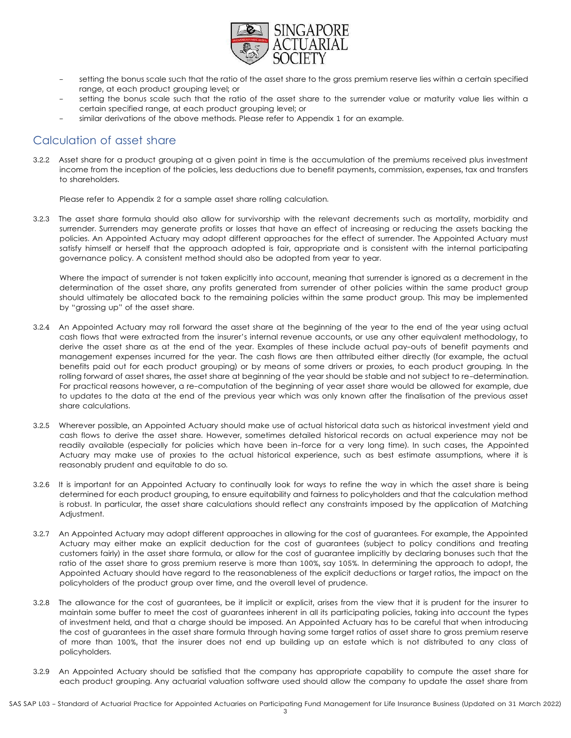

- setting the bonus scale such that the ratio of the asset share to the gross premium reserve lies within a certain specified range, at each product grouping level; or
- setting the bonus scale such that the ratio of the asset share to the surrender value or maturity value lies within a certain specified range, at each product grouping level; or
- similar derivations of the above methods. Please refer to Appendix 1 for an example.

# Calculation of asset share

3.2.2 Asset share for a product grouping at a given point in time is the accumulation of the premiums received plus investment income from the inception of the policies, less deductions due to benefit payments, commission, expenses, tax and transfers to shareholders.

Please refer to Appendix 2 for a sample asset share rolling calculation.

3.2.3 The asset share formula should also allow for survivorship with the relevant decrements such as mortality, morbidity and surrender. Surrenders may generate profits or losses that have an effect of increasing or reducing the assets backing the policies. An Appointed Actuary may adopt different approaches for the effect of surrender. The Appointed Actuary must satisfy himself or herself that the approach adopted is fair, appropriate and is consistent with the internal participating governance policy. A consistent method should also be adopted from year to year.

Where the impact of surrender is not taken explicitly into account, meaning that surrender is ignored as a decrement in the determination of the asset share, any profits generated from surrender of other policies within the same product group should ultimately be allocated back to the remaining policies within the same product group. This may be implemented by "grossing up" of the asset share.

- 3.2.4 An Appointed Actuary may roll forward the asset share at the beginning of the year to the end of the year using actual cash flows that were extracted from the insurer's internal revenue accounts, or use any other equivalent methodology, to derive the asset share as at the end of the year. Examples of these include actual pay-outs of benefit payments and management expenses incurred for the year. The cash flows are then attributed either directly (for example, the actual benefits paid out for each product grouping) or by means of some drivers or proxies, to each product grouping. In the rolling forward of asset shares, the asset share at beginning of the year should be stable and not subject to re-determination. For practical reasons however, a re-computation of the beginning of year asset share would be allowed for example, due to updates to the data at the end of the previous year which was only known after the finalisation of the previous asset share calculations.
- 3.2.5 Wherever possible, an Appointed Actuary should make use of actual historical data such as historical investment yield and cash flows to derive the asset share. However, sometimes detailed historical records on actual experience may not be readily available (especially for policies which have been in-force for a very long time). In such cases, the Appointed Actuary may make use of proxies to the actual historical experience, such as best estimate assumptions, where it is reasonably prudent and equitable to do so.
- 3.2.6 It is important for an Appointed Actuary to continually look for ways to refine the way in which the asset share is being determined for each product grouping, to ensure equitability and fairness to policyholders and that the calculation method is robust. In particular, the asset share calculations should reflect any constraints imposed by the application of Matching Adjustment.
- 3.2.7 An Appointed Actuary may adopt different approaches in allowing for the cost of guarantees. For example, the Appointed Actuary may either make an explicit deduction for the cost of guarantees (subject to policy conditions and treating customers fairly) in the asset share formula, or allow for the cost of guarantee implicitly by declaring bonuses such that the ratio of the asset share to gross premium reserve is more than 100%, say 105%. In determining the approach to adopt, the Appointed Actuary should have regard to the reasonableness of the explicit deductions or target ratios, the impact on the policyholders of the product group over time, and the overall level of prudence.
- 3.2.8 The allowance for the cost of guarantees, be it implicit or explicit, arises from the view that it is prudent for the insurer to maintain some buffer to meet the cost of guarantees inherent in all its participating policies, taking into account the types of investment held, and that a charge should be imposed. An Appointed Actuary has to be careful that when introducing the cost of guarantees in the asset share formula through having some target ratios of asset share to gross premium reserve of more than 100%, that the insurer does not end up building up an estate which is not distributed to any class of policyholders.
- 3.2.9 An Appointed Actuary should be satisfied that the company has appropriate capability to compute the asset share for each product grouping. Any actuarial valuation software used should allow the company to update the asset share from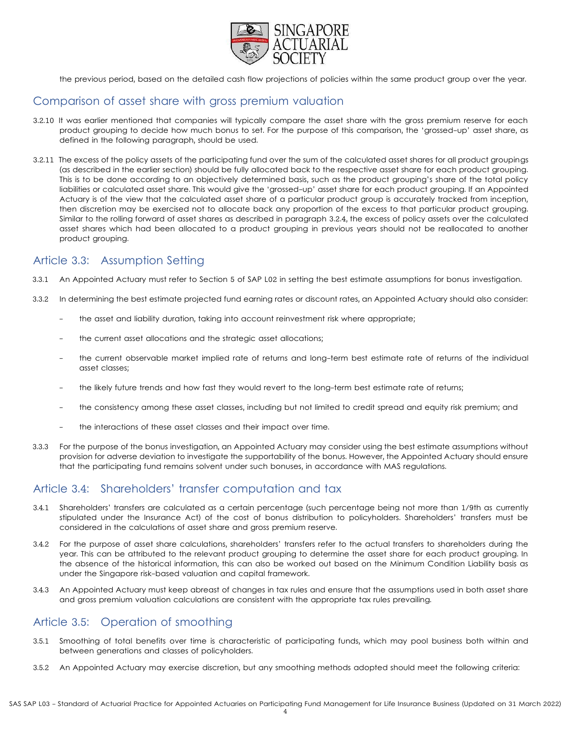

the previous period, based on the detailed cash flow projections of policies within the same product group over the year.

# Comparison of asset share with gross premium valuation

- 3.2.10 It was earlier mentioned that companies will typically compare the asset share with the gross premium reserve for each product grouping to decide how much bonus to set. For the purpose of this comparison, the 'grossed-up' asset share, as defined in the following paragraph, should be used.
- 3.2.11 The excess of the policy assets of the participating fund over the sum of the calculated asset shares for all product groupings (as described in the earlier section) should be fully allocated back to the respective asset share for each product grouping. This is to be done according to an objectively determined basis, such as the product grouping's share of the total policy liabilities or calculated asset share. This would give the 'grossed-up' asset share for each product grouping. If an Appointed Actuary is of the view that the calculated asset share of a particular product group is accurately tracked from inception, then discretion may be exercised not to allocate back any proportion of the excess to that particular product grouping. Similar to the rolling forward of asset shares as described in paragraph 3.2.4, the excess of policy assets over the calculated asset shares which had been allocated to a product grouping in previous years should not be reallocated to another product grouping.

# Article 3.3: Assumption Setting

- 3.3.1 An Appointed Actuary must refer to Section 5 of SAP L02 in setting the best estimate assumptions for bonus investigation.
- 3.3.2 In determining the best estimate projected fund earning rates or discount rates, an Appointed Actuary should also consider:
	- the asset and liability duration, taking into account reinvestment risk where appropriate;
	- the current asset allocations and the strategic asset allocations;
	- the current observable market implied rate of returns and long-term best estimate rate of returns of the individual asset classes;
	- the likely future trends and how fast they would revert to the long-term best estimate rate of returns;
	- the consistency among these asset classes, including but not limited to credit spread and equity risk premium; and
	- the interactions of these asset classes and their impact over time.
- 3.3.3 For the purpose of the bonus investigation, an Appointed Actuary may consider using the best estimate assumptions without provision for adverse deviation to investigate the supportability of the bonus. However, the Appointed Actuary should ensure that the participating fund remains solvent under such bonuses, in accordance with MAS regulations.

## Article 3.4: Shareholders' transfer computation and tax

- 3.4.1 Shareholders' transfers are calculated as a certain percentage (such percentage being not more than 1/9th as currently stipulated under the Insurance Act) of the cost of bonus distribution to policyholders. Shareholders' transfers must be considered in the calculations of asset share and gross premium reserve.
- 3.4.2 For the purpose of asset share calculations, shareholders' transfers refer to the actual transfers to shareholders during the year. This can be attributed to the relevant product grouping to determine the asset share for each product grouping. In the absence of the historical information, this can also be worked out based on the Minimum Condition Liability basis as under the Singapore risk-based valuation and capital framework.
- 3.4.3 An Appointed Actuary must keep abreast of changes in tax rules and ensure that the assumptions used in both asset share and gross premium valuation calculations are consistent with the appropriate tax rules prevailing.

# Article 3.5: Operation of smoothing

- 3.5.1 Smoothing of total benefits over time is characteristic of participating funds, which may pool business both within and between generations and classes of policyholders.
- 3.5.2 An Appointed Actuary may exercise discretion, but any smoothing methods adopted should meet the following criteria: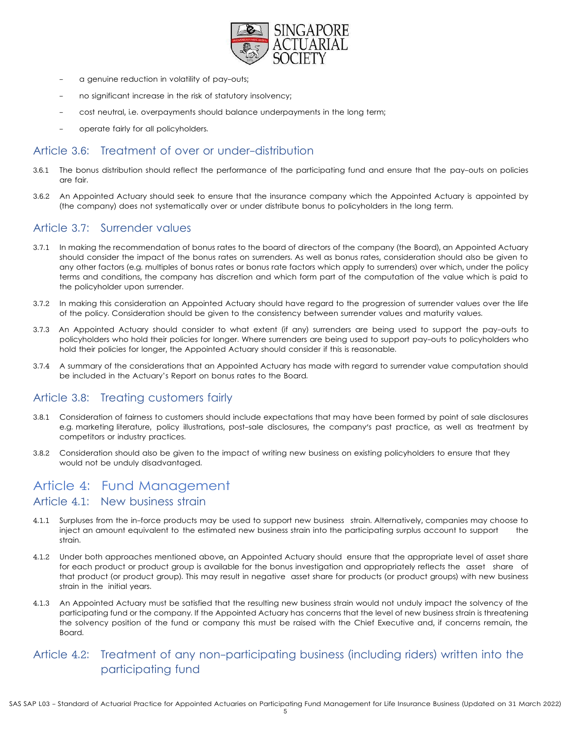

- a genuine reduction in volatility of pay-outs;
- no significant increase in the risk of statutory insolvency;
- cost neutral, i.e. overpayments should balance underpayments in the long term;
- operate fairly for all policyholders.

#### Article 3.6: Treatment of over or under-distribution

- 3.6.1 The bonus distribution should reflect the performance of the participating fund and ensure that the pay-outs on policies are fair.
- 3.6.2 An Appointed Actuary should seek to ensure that the insurance company which the Appointed Actuary is appointed by (the company) does not systematically over or under distribute bonus to policyholders in the long term.

#### Article 3.7: Surrender values

- 3.7.1 In making the recommendation of bonus rates to the board of directors of the company (the Board), an Appointed Actuary should consider the impact of the bonus rates on surrenders. As well as bonus rates, consideration should also be given to any other factors (e.g. multiples of bonus rates or bonus rate factors which apply to surrenders) over which, under the policy terms and conditions, the company has discretion and which form part of the computation of the value which is paid to the policyholder upon surrender.
- 3.7.2 In making this consideration an Appointed Actuary should have regard to the progression of surrender values over the life of the policy. Consideration should be given to the consistency between surrender values and maturity values.
- 3.7.3 An Appointed Actuary should consider to what extent (if any) surrenders are being used to support the pay-outs to policyholders who hold their policies for longer. Where surrenders are being used to support pay-outs to policyholders who hold their policies for longer, the Appointed Actuary should consider if this is reasonable.
- 3.7.4 A summary of the considerations that an Appointed Actuary has made with regard to surrender value computation should be included in the Actuary's Report on bonus rates to the Board.

#### Article 3.8: Treating customers fairly

- 3.8.1 Consideration of fairness to customers should include expectations that may have been formed by point of sale disclosures e.g. marketing literature, policy illustrations, post-sale disclosures, the company's past practice, as well as treatment by competitors or industry practices.
- 3.8.2 Consideration should also be given to the impact of writing new business on existing policyholders to ensure that they would not be unduly disadvantaged.

### Article 4: Fund Management Article 4.1: New business strain

- 4.1.1 Surpluses from the in-force products may be used to support new business strain. Alternatively, companies may choose to inject an amount equivalent to the estimated new business strain into the participating surplus account to support the strain.
- 4.1.2 Under both approaches mentioned above, an Appointed Actuary should ensure that the appropriate level of asset share for each product or product group is available for the bonus investigation and appropriately reflects the asset share of that product (or product group). This may result in negative asset share for products (or product groups) with new business strain in the initial years.
- 4.1.3 An Appointed Actuary must be satisfied that the resulting new business strain would not unduly impact the solvency of the participating fund or the company. If the Appointed Actuary has concerns that the level of new business strain is threatening the solvency position of the fund or company this must be raised with the Chief Executive and, if concerns remain, the Board.

## Article 4.2: Treatment of any non-participating business (including riders) written into the participating fund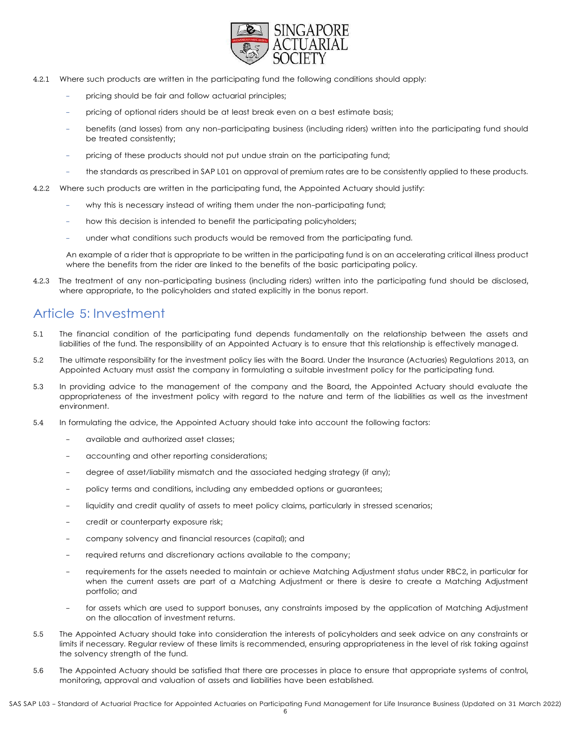

- 4.2.1 Where such products are written in the participating fund the following conditions should apply:
	- pricing should be fair and follow actuarial principles;
	- pricing of optional riders should be at least break even on a best estimate basis;
	- benefits (and losses) from any non-participating business (including riders) written into the participating fund should be treated consistently;
	- pricing of these products should not put undue strain on the participating fund;
	- the standards as prescribed in SAP L01 on approval of premium rates are to be consistently applied to these products.
- 4.2.2 Where such products are written in the participating fund, the Appointed Actuary should justify:
	- why this is necessary instead of writing them under the non-participating fund;
	- how this decision is intended to benefit the participating policyholders;
	- under what conditions such products would be removed from the participating fund.

An example of a rider that is appropriate to be written in the participating fund is on an accelerating critical illness product where the benefits from the rider are linked to the benefits of the basic participating policy.

4.2.3 The treatment of any non-participating business (including riders) written into the participating fund should be disclosed, where appropriate, to the policyholders and stated explicitly in the bonus report.

# Article 5: Investment

- 5.1 The financial condition of the participating fund depends fundamentally on the relationship between the assets and liabilities of the fund. The responsibility of an Appointed Actuary is to ensure that this relationship is effectively managed.
- 5.2 The ultimate responsibility for the investment policy lies with the Board. Under the Insurance (Actuaries) Regulations 2013, an Appointed Actuary must assist the company in formulating a suitable investment policy for the participating fund.
- 5.3 In providing advice to the management of the company and the Board, the Appointed Actuary should evaluate the appropriateness of the investment policy with regard to the nature and term of the liabilities as well as the investment environment.
- 5.4 In formulating the advice, the Appointed Actuary should take into account the following factors:
	- available and authorized asset classes;
	- accounting and other reporting considerations;
	- degree of asset/liability mismatch and the associated hedging strategy (if any);
	- policy terms and conditions, including any embedded options or guarantees;
	- liquidity and credit quality of assets to meet policy claims, particularly in stressed scenarios;
	- credit or counterparty exposure risk;
	- company solvency and financial resources (capital); and
	- required returns and discretionary actions available to the company;
	- requirements for the assets needed to maintain or achieve Matching Adjustment status under RBC2, in particular for when the current assets are part of a Matching Adjustment or there is desire to create a Matching Adjustment portfolio; and
	- for assets which are used to support bonuses, any constraints imposed by the application of Matching Adjustment on the allocation of investment returns.
- 5.5 The Appointed Actuary should take into consideration the interests of policyholders and seek advice on any constraints or limits if necessary. Regular review of these limits is recommended, ensuring appropriateness in the level of risk taking against the solvency strength of the fund.
- 5.6 The Appointed Actuary should be satisfied that there are processes in place to ensure that appropriate systems of control, monitoring, approval and valuation of assets and liabilities have been established.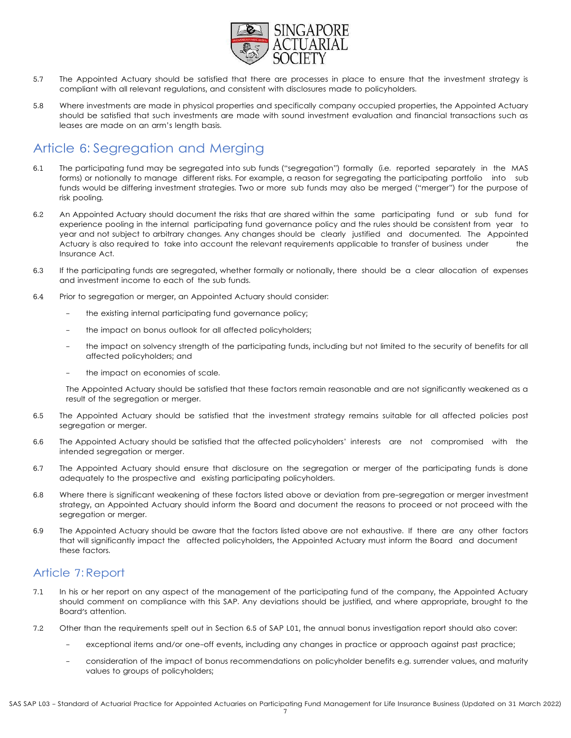

- 5.7 The Appointed Actuary should be satisfied that there are processes in place to ensure that the investment strategy is compliant with all relevant regulations, and consistent with disclosures made to policyholders.
- 5.8 Where investments are made in physical properties and specifically company occupied properties, the Appointed Actuary should be satisfied that such investments are made with sound investment evaluation and financial transactions such as leases are made on an arm's length basis.

# Article 6: Segregation and Merging

- 6.1 The participating fund may be segregated into sub funds ("segregation") formally (i.e. reported separately in the MAS forms) or notionally to manage different risks. For example, a reason for segregating the participating portfolio into sub funds would be differing investment strategies. Two or more sub funds may also be merged ("merger") for the purpose of risk pooling.
- 6.2 An Appointed Actuary should document the risks that are shared within the same participating fund or sub fund for experience pooling in the internal participating fund governance policy and the rules should be consistent from year to year and not subject to arbitrary changes. Any changes should be clearly justified and documented. The Appointed Actuary is also required to take into account the relevant requirements applicable to transfer of business under the Insurance Act.
- 6.3 If the participating funds are segregated, whether formally or notionally, there should be a clear allocation of expenses and investment income to each of the sub funds.
- 6.4 Prior to segregation or merger, an Appointed Actuary should consider:
	- the existing internal participating fund governance policy;
	- the impact on bonus outlook for all affected policyholders;
	- the impact on solvency strength of the participating funds, including but not limited to the security of benefits for all affected policyholders; and
	- the impact on economies of scale.

The Appointed Actuary should be satisfied that these factors remain reasonable and are not significantly weakened as a result of the segregation or merger.

- 6.5 The Appointed Actuary should be satisfied that the investment strategy remains suitable for all affected policies post segregation or merger.
- 6.6 The Appointed Actuary should be satisfied that the affected policyholders' interests are not compromised with the intended segregation or merger.
- 6.7 The Appointed Actuary should ensure that disclosure on the segregation or merger of the participating funds is done adequately to the prospective and existing participating policyholders.
- 6.8 Where there is significant weakening of these factors listed above or deviation from pre-segregation or merger investment strategy, an Appointed Actuary should inform the Board and document the reasons to proceed or not proceed with the segregation or merger.
- 6.9 The Appointed Actuary should be aware that the factors listed above are not exhaustive. If there are any other factors that will significantly impact the affected policyholders, the Appointed Actuary must inform the Board and document these factors.

#### Article 7: Report

- 7.1 In his or her report on any aspect of the management of the participating fund of the company, the Appointed Actuary should comment on compliance with this SAP. Any deviations should be justified, and where appropriate, brought to the Board's attention.
- 7.2 Other than the requirements spelt out in Section 6.5 of SAP L01, the annual bonus investigation report should also cover:
	- exceptional items and/or one-off events, including any changes in practice or approach against past practice;
	- consideration of the impact of bonus recommendations on policyholder benefits e.g. surrender values, and maturity values to groups of policyholders;